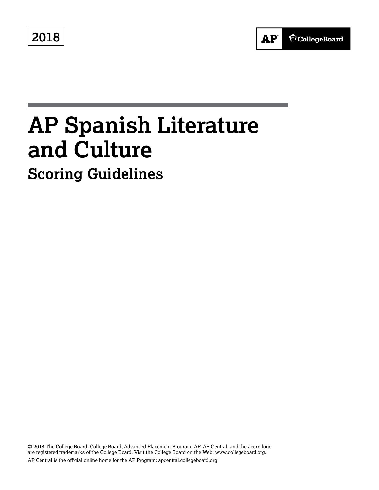**2018**



# **AP Spanish Literature and Culture Scoring Guidelines**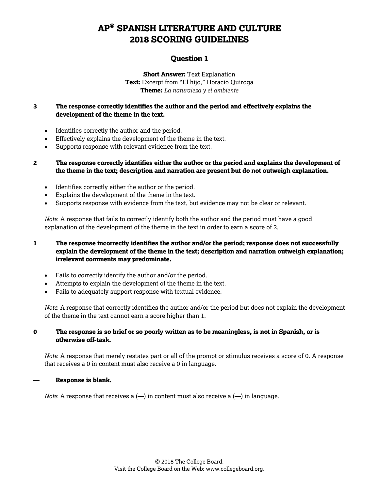### **Question 1**

**Short Answer: Text Explanation Text:** Excerpt from "El hijo*,*" Horacio Quiroga **Theme:** *La naturaleza y el ambiente*

### **3 The response correctly identifies the author and the period and effectively explains the development of the theme in the text.**

- Identifies correctly the author and the period.
- Effectively explains the development of the theme in the text.
- Supports response with relevant evidence from the text.

**2 The response correctly identifies either the author or the period and explains the development of the theme in the text; description and narration are present but do not outweigh explanation.**

- Identifies correctly either the author or the period.
- Explains the development of the theme in the text.
- Supports response with evidence from the text, but evidence may not be clear or relevant.

*Note*: A response that fails to correctly identify both the author and the period must have a good explanation of the development of the theme in the text in order to earn a score of 2.

### **1 The response incorrectly identifies the author and/or the period; response does not successfully explain the development of the theme in the text; description and narration outweigh explanation; irrelevant comments may predominate.**

- Fails to correctly identify the author and/or the period.
- Attempts to explain the development of the theme in the text.
- Fails to adequately support response with textual evidence.

*Note*: A response that correctly identifies the author and/or the period but does not explain the development of the theme in the text cannot earn a score higher than 1.

### **0 The response is so brief or so poorly written as to be meaningless, is not in Spanish, or is otherwise off-task.**

*Note*: A response that merely restates part or all of the prompt or stimulus receives a score of 0. A response that receives a 0 in content must also receive a 0 in language.

#### **— Response is blank.**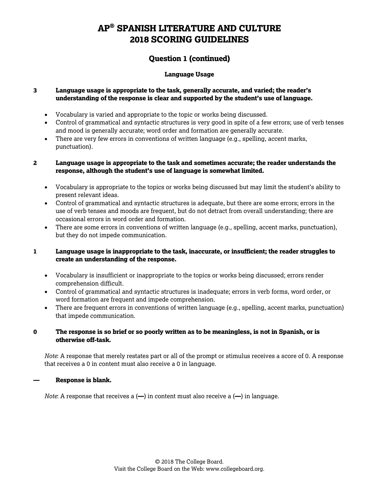### **Question 1 (continued)**

### **Language Usage**

### **3 Language usage is appropriate to the task, generally accurate, and varied; the reader's understanding of the response is clear and supported by the student's use of language.**

- Vocabulary is varied and appropriate to the topic or works being discussed.
- Control of grammatical and syntactic structures is very good in spite of a few errors; use of verb tenses and mood is generally accurate; word order and formation are generally accurate.
- There are very few errors in conventions of written language (e.g., spelling, accent marks, punctuation).

### **2 Language usage is appropriate to the task and sometimes accurate; the reader understands the response, although the student's use of language is somewhat limited.**

- Vocabulary is appropriate to the topics or works being discussed but may limit the student's ability to present relevant ideas.
- Control of grammatical and syntactic structures is adequate, but there are some errors; errors in the use of verb tenses and moods are frequent, but do not detract from overall understanding; there are occasional errors in word order and formation.
- There are some errors in conventions of written language (e.g., spelling, accent marks, punctuation), but they do not impede communication.

### **1 Language usage is inappropriate to the task, inaccurate, or insufficient; the reader struggles to create an understanding of the response.**

- Vocabulary is insufficient or inappropriate to the topics or works being discussed; errors render comprehension difficult.
- Control of grammatical and syntactic structures is inadequate; errors in verb forms, word order, or word formation are frequent and impede comprehension.
- There are frequent errors in conventions of written language (e.g., spelling, accent marks, punctuation) that impede communication.

### **0 The response is so brief or so poorly written as to be meaningless, is not in Spanish, or is otherwise off-task.**

*Note*: A response that merely restates part or all of the prompt or stimulus receives a score of 0. A response that receives a 0 in content must also receive a 0 in language.

#### **— Response is blank.**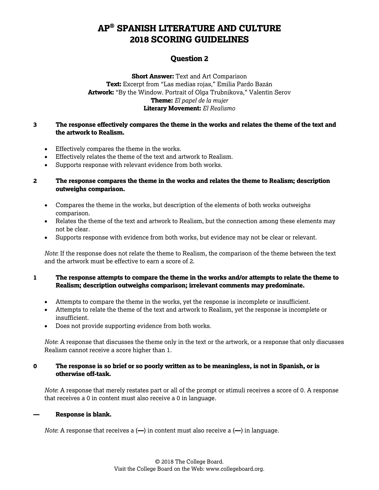### **Question 2**

**Short Answer:** Text and Art Comparison **Text:** Excerpt from "Las medias rojas," Emilia Pardo Bazán **Artwork:** "By the Window. Portrait of Olga Trubnikova," Valentin Serov **Theme:** *El papel de la mujer* **Literary Movement:** *El Realismo*

### **3 The response effectively compares the theme in the works and relates the theme of the text and the artwork to Realism.**

- Effectively compares the theme in the works.
- Effectively relates the theme of the text and artwork to Realism.
- Supports response with relevant evidence from both works.

#### **2 The response compares the theme in the works and relates the theme to Realism; description outweighs comparison.**

- Compares the theme in the works, but description of the elements of both works outweighs comparison.
- Relates the theme of the text and artwork to Realism, but the connection among these elements may not be clear.
- Supports response with evidence from both works, but evidence may not be clear or relevant.

*Note*: If the response does not relate the theme to Realism, the comparison of the theme between the text and the artwork must be effective to earn a score of 2.

### **1 The response attempts to compare the theme in the works and/or attempts to relate the theme to Realism; description outweighs comparison; irrelevant comments may predominate.**

- Attempts to compare the theme in the works, yet the response is incomplete or insufficient.
- Attempts to relate the theme of the text and artwork to Realism, yet the response is incomplete or insufficient.
- Does not provide supporting evidence from both works.

*Note*: A response that discusses the theme only in the text or the artwork, or a response that only discusses Realism cannot receive a score higher than 1.

### **0 The response is so brief or so poorly written as to be meaningless, is not in Spanish, or is otherwise off-task.**

*Note*: A response that merely restates part or all of the prompt or stimuli receives a score of 0. A response that receives a 0 in content must also receive a 0 in language.

#### **— Response is blank.**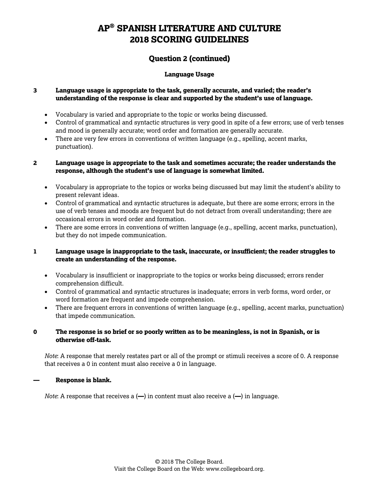### **Question 2 (continued)**

### **Language Usage**

### **3 Language usage is appropriate to the task, generally accurate, and varied; the reader's understanding of the response is clear and supported by the student's use of language.**

- Vocabulary is varied and appropriate to the topic or works being discussed.
- Control of grammatical and syntactic structures is very good in spite of a few errors; use of verb tenses and mood is generally accurate; word order and formation are generally accurate.
- There are very few errors in conventions of written language (e.g., spelling, accent marks, punctuation).

### **2 Language usage is appropriate to the task and sometimes accurate; the reader understands the response, although the student's use of language is somewhat limited.**

- Vocabulary is appropriate to the topics or works being discussed but may limit the student's ability to present relevant ideas.
- Control of grammatical and syntactic structures is adequate, but there are some errors; errors in the use of verb tenses and moods are frequent but do not detract from overall understanding; there are occasional errors in word order and formation.
- There are some errors in conventions of written language (e.g., spelling, accent marks, punctuation), but they do not impede communication.

### **1 Language usage is inappropriate to the task, inaccurate, or insufficient; the reader struggles to create an understanding of the response.**

- Vocabulary is insufficient or inappropriate to the topics or works being discussed; errors render comprehension difficult.
- Control of grammatical and syntactic structures is inadequate; errors in verb forms, word order, or word formation are frequent and impede comprehension.
- There are frequent errors in conventions of written language (e.g., spelling, accent marks, punctuation) that impede communication.

### **0 The response is so brief or so poorly written as to be meaningless, is not in Spanish, or is otherwise off-task.**

*Note*: A response that merely restates part or all of the prompt or stimuli receives a score of 0. A response that receives a 0 in content must also receive a 0 in language.

#### **— Response is blank.**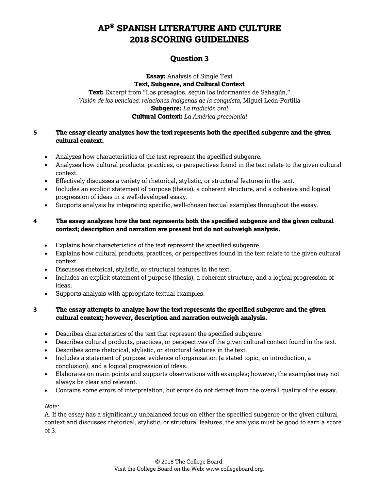### **Question 3**

**Essay:** Analysis of Single Text **Text, Subgenre, and Cultural Context Text:** Excerpt from "Los presagios, según los informantes de Sahagún," *Visión de los vencidos: relaciones indígenas de la conquista*, Miguel León-Portilla **Subgenre:** *La tradición oral* **Cultural Context:** *La América precolonial*

### **5 The essay clearly analyzes how the text represents both the specified subgenre and the given cultural context.**

- Analyzes how characteristics of the text represent the specified subgenre.
- Analyzes how cultural products, practices, or perspectives found in the text relate to the given cultural context.
- Effectively discusses a variety of rhetorical, stylistic, or structural features in the text.
- Includes an explicit statement of purpose (thesis), a coherent structure, and a cohesive and logical progression of ideas in a well-developed essay.
- Supports analysis by integrating specific, well-chosen textual examples throughout the essay.

### **4 The essay analyzes how the text represents both the specified subgenre and the given cultural context; description and narration are present but do not outweigh analysis.**

- Explains how characteristics of the text represent the specified subgenre.
- Explains how cultural products, practices, or perspectives found in the text relate to the given cultural context.
- Discusses rhetorical, stylistic, or structural features in the text.
- Includes an explicit statement of purpose (thesis), a coherent structure, and a logical progression of ideas.
- Supports analysis with appropriate textual examples.

### **3 The essay attempts to analyze how the text represents the specified subgenre and the given cultural context; however, description and narration outweigh analysis.**

- Describes characteristics of the text that represent the specified subgenre.
- Describes cultural products, practices, or perspectives of the given cultural context found in the text.
- Describes some rhetorical, stylistic, or structural features in the text.
- Includes a statement of purpose, evidence of organization (a stated topic, an introduction, a conclusion), and a logical progression of ideas.
- Elaborates on main points and supports observations with examples; however, the examples may not always be clear and relevant.
- Contains some errors of interpretation, but errors do not detract from the overall quality of the essay.

#### *Note:*

A. If the essay has a significantly unbalanced focus on either the specified subgenre or the given cultural context and discusses rhetorical, stylistic, or structural features, the analysis must be good to earn a score of 3.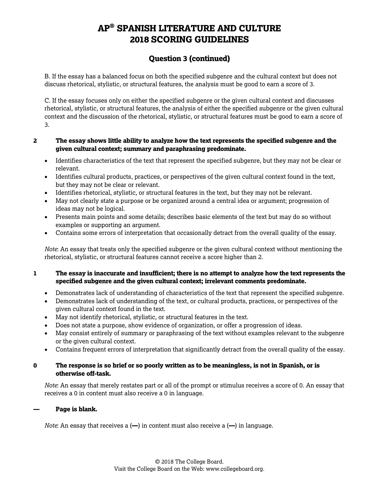### **Question 3 (continued)**

B. If the essay has a balanced focus on both the specified subgenre and the cultural context but does not discuss rhetorical, stylistic, or structural features, the analysis must be good to earn a score of 3.

C. If the essay focuses only on either the specified subgenre or the given cultural context and discusses rhetorical, stylistic, or structural features, the analysis of either the specified subgenre or the given cultural context and the discussion of the rhetorical, stylistic, or structural features must be good to earn a score of 3.

### **2 The essay shows little ability to analyze how the text represents the specified subgenre and the given cultural context; summary and paraphrasing predominate.**

- Identifies characteristics of the text that represent the specified subgenre, but they may not be clear or relevant.
- Identifies cultural products, practices, or perspectives of the given cultural context found in the text, but they may not be clear or relevant.
- Identifies rhetorical, stylistic, or structural features in the text, but they may not be relevant.
- May not clearly state a purpose or be organized around a central idea or argument; progression of ideas may not be logical.
- Presents main points and some details; describes basic elements of the text but may do so without examples or supporting an argument.
- Contains some errors of interpretation that occasionally detract from the overall quality of the essay.

*Note*: An essay that treats only the specified subgenre or the given cultural context without mentioning the rhetorical, stylistic, or structural features cannot receive a score higher than 2.

### **1 The essay is inaccurate and insufficient; there is no attempt to analyze how the text represents the specified subgenre and the given cultural context; irrelevant comments predominate.**

- Demonstrates lack of understanding of characteristics of the text that represent the specified subgenre.
- Demonstrates lack of understanding of the text, or cultural products, practices, or perspectives of the given cultural context found in the text.
- May not identify rhetorical, stylistic, or structural features in the text.
- Does not state a purpose, show evidence of organization, or offer a progression of ideas.
- May consist entirely of summary or paraphrasing of the text without examples relevant to the subgenre or the given cultural context.
- Contains frequent errors of interpretation that significantly detract from the overall quality of the essay.

### **0 The response is so brief or so poorly written as to be meaningless, is not in Spanish, or is otherwise off-task.**

*Note*: An essay that merely restates part or all of the prompt or stimulus receives a score of 0. An essay that receives a 0 in content must also receive a 0 in language.

#### **— Page is blank.**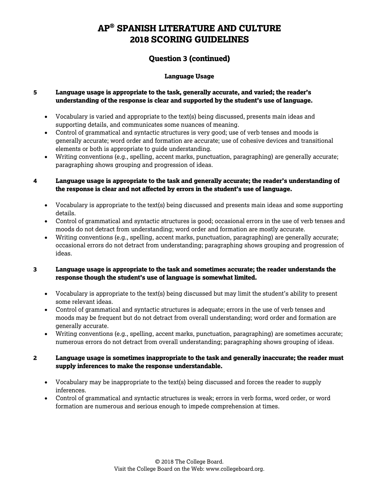### **Question 3 (continued)**

### **Language Usage**

### **5 Language usage is appropriate to the task, generally accurate, and varied; the reader's understanding of the response is clear and supported by the student's use of language.**

- Vocabulary is varied and appropriate to the text(s) being discussed, presents main ideas and supporting details, and communicates some nuances of meaning.
- Control of grammatical and syntactic structures is very good; use of verb tenses and moods is generally accurate; word order and formation are accurate; use of cohesive devices and transitional elements or both is appropriate to guide understanding.
- Writing conventions (e.g., spelling, accent marks, punctuation, paragraphing) are generally accurate; paragraphing shows grouping and progression of ideas.

### **4 Language usage is appropriate to the task and generally accurate; the reader's understanding of the response is clear and not affected by errors in the student's use of language.**

- Vocabulary is appropriate to the text(s) being discussed and presents main ideas and some supporting details.
- Control of grammatical and syntactic structures is good; occasional errors in the use of verb tenses and moods do not detract from understanding; word order and formation are mostly accurate.
- Writing conventions (e.g., spelling, accent marks, punctuation, paragraphing) are generally accurate; occasional errors do not detract from understanding; paragraphing shows grouping and progression of ideas.

### **3 Language usage is appropriate to the task and sometimes accurate; the reader understands the response though the student's use of language is somewhat limited.**

- Vocabulary is appropriate to the text(s) being discussed but may limit the student's ability to present some relevant ideas.
- Control of grammatical and syntactic structures is adequate; errors in the use of verb tenses and moods may be frequent but do not detract from overall understanding; word order and formation are generally accurate.
- Writing conventions (e.g., spelling, accent marks, punctuation, paragraphing) are sometimes accurate; numerous errors do not detract from overall understanding; paragraphing shows grouping of ideas.

### **2 Language usage is sometimes inappropriate to the task and generally inaccurate; the reader must supply inferences to make the response understandable.**

- Vocabulary may be inappropriate to the text(s) being discussed and forces the reader to supply inferences.
- Control of grammatical and syntactic structures is weak; errors in verb forms, word order, or word formation are numerous and serious enough to impede comprehension at times.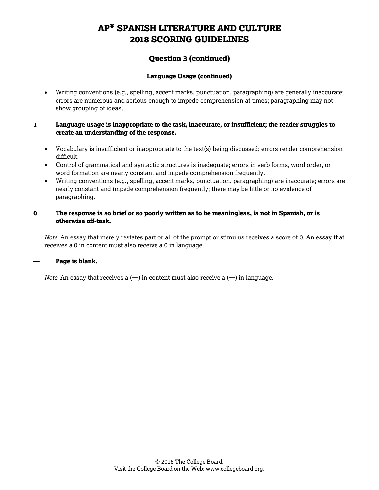### **Question 3 (continued)**

### **Language Usage (continued)**

• Writing conventions (e.g., spelling, accent marks, punctuation, paragraphing) are generally inaccurate; errors are numerous and serious enough to impede comprehension at times; paragraphing may not show grouping of ideas.

### **1 Language usage is inappropriate to the task, inaccurate, or insufficient; the reader struggles to create an understanding of the response.**

- Vocabulary is insufficient or inappropriate to the text(s) being discussed; errors render comprehension difficult.
- Control of grammatical and syntactic structures is inadequate; errors in verb forms, word order, or word formation are nearly constant and impede comprehension frequently.
- Writing conventions (e.g., spelling, accent marks, punctuation, paragraphing) are inaccurate; errors are nearly constant and impede comprehension frequently; there may be little or no evidence of paragraphing.

### **0 The response is so brief or so poorly written as to be meaningless, is not in Spanish, or is otherwise off-task.**

*Note*: An essay that merely restates part or all of the prompt or stimulus receives a score of 0. An essay that receives a 0 in content must also receive a 0 in language.

#### **— Page is blank.**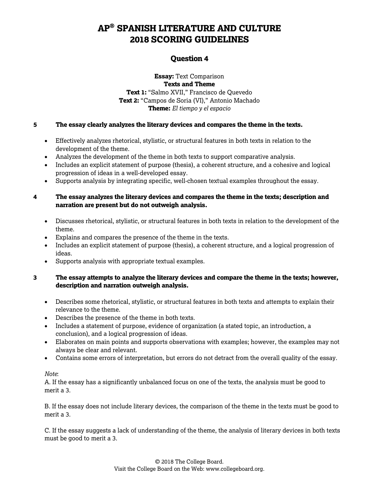### **Question 4**

**Essay:** Text Comparison **Texts and Theme Text 1:** "Salmo XVII," Francisco de Quevedo **Text 2:** "Campos de Soria (VI)," Antonio Machado **Theme:** *El tiempo y el espacio*

### **5 The essay clearly analyzes the literary devices and compares the theme in the texts.**

- Effectively analyzes rhetorical, stylistic, or structural features in both texts in relation to the development of the theme.
- Analyzes the development of the theme in both texts to support comparative analysis.
- Includes an explicit statement of purpose (thesis), a coherent structure, and a cohesive and logical progression of ideas in a well-developed essay.
- Supports analysis by integrating specific, well-chosen textual examples throughout the essay.

### **4 The essay analyzes the literary devices and compares the theme in the texts; description and narration are present but do not outweigh analysis.**

- Discusses rhetorical, stylistic, or structural features in both texts in relation to the development of the theme.
- Explains and compares the presence of the theme in the texts.
- Includes an explicit statement of purpose (thesis), a coherent structure, and a logical progression of ideas.
- Supports analysis with appropriate textual examples.

### **3 The essay attempts to analyze the literary devices and compare the theme in the texts; however, description and narration outweigh analysis.**

- Describes some rhetorical, stylistic, or structural features in both texts and attempts to explain their relevance to the theme.
- Describes the presence of the theme in both texts.
- Includes a statement of purpose, evidence of organization (a stated topic, an introduction, a conclusion), and a logical progression of ideas.
- Elaborates on main points and supports observations with examples; however, the examples may not always be clear and relevant.
- Contains some errors of interpretation, but errors do not detract from the overall quality of the essay.

#### *Note*:

A. If the essay has a significantly unbalanced focus on one of the texts, the analysis must be good to merit a 3.

B. If the essay does not include literary devices, the comparison of the theme in the texts must be good to merit a 3.

C. If the essay suggests a lack of understanding of the theme, the analysis of literary devices in both texts must be good to merit a 3.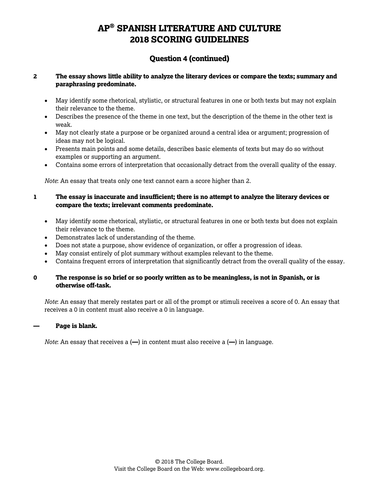### **Question 4 (continued)**

### **2 The essay shows little ability to analyze the literary devices or compare the texts; summary and paraphrasing predominate.**

- May identify some rhetorical, stylistic, or structural features in one or both texts but may not explain their relevance to the theme.
- Describes the presence of the theme in one text, but the description of the theme in the other text is weak.
- May not clearly state a purpose or be organized around a central idea or argument; progression of ideas may not be logical.
- Presents main points and some details, describes basic elements of texts but may do so without examples or supporting an argument.
- Contains some errors of interpretation that occasionally detract from the overall quality of the essay.

*Note*: An essay that treats only one text cannot earn a score higher than 2.

- **1 The essay is inaccurate and insufficient; there is no attempt to analyze the literary devices or compare the texts; irrelevant comments predominate.**
	- May identify some rhetorical, stylistic, or structural features in one or both texts but does not explain their relevance to the theme.
	- Demonstrates lack of understanding of the theme.
	- Does not state a purpose, show evidence of organization, or offer a progression of ideas.
	- May consist entirely of plot summary without examples relevant to the theme.
	- Contains frequent errors of interpretation that significantly detract from the overall quality of the essay.

#### **0 The response is so brief or so poorly written as to be meaningless, is not in Spanish, or is otherwise off-task.**

*Note*: An essay that merely restates part or all of the prompt or stimuli receives a score of 0. An essay that receives a 0 in content must also receive a 0 in language.

#### **— Page is blank.**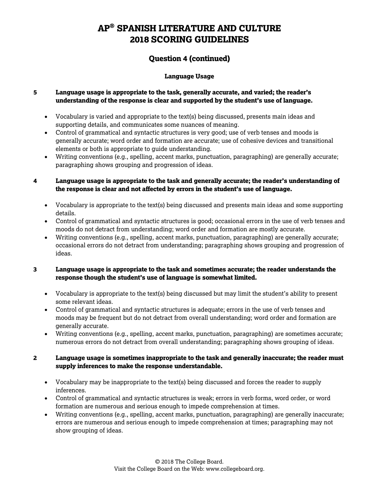### **Question 4 (continued)**

### **Language Usage**

### **5 Language usage is appropriate to the task, generally accurate, and varied; the reader's understanding of the response is clear and supported by the student's use of language.**

- Vocabulary is varied and appropriate to the text(s) being discussed, presents main ideas and supporting details, and communicates some nuances of meaning.
- Control of grammatical and syntactic structures is very good; use of verb tenses and moods is generally accurate; word order and formation are accurate; use of cohesive devices and transitional elements or both is appropriate to guide understanding.
- Writing conventions (e.g., spelling, accent marks, punctuation, paragraphing) are generally accurate; paragraphing shows grouping and progression of ideas.

### **4 Language usage is appropriate to the task and generally accurate; the reader's understanding of the response is clear and not affected by errors in the student's use of language.**

- Vocabulary is appropriate to the text(s) being discussed and presents main ideas and some supporting details.
- Control of grammatical and syntactic structures is good; occasional errors in the use of verb tenses and moods do not detract from understanding; word order and formation are mostly accurate.
- Writing conventions (e.g., spelling, accent marks, punctuation, paragraphing) are generally accurate; occasional errors do not detract from understanding; paragraphing shows grouping and progression of ideas.

### **3 Language usage is appropriate to the task and sometimes accurate; the reader understands the response though the student's use of language is somewhat limited.**

- Vocabulary is appropriate to the text(s) being discussed but may limit the student's ability to present some relevant ideas.
- Control of grammatical and syntactic structures is adequate; errors in the use of verb tenses and moods may be frequent but do not detract from overall understanding; word order and formation are generally accurate.
- Writing conventions (e.g., spelling, accent marks, punctuation, paragraphing) are sometimes accurate; numerous errors do not detract from overall understanding; paragraphing shows grouping of ideas.

### **2 Language usage is sometimes inappropriate to the task and generally inaccurate; the reader must supply inferences to make the response understandable.**

- Vocabulary may be inappropriate to the text(s) being discussed and forces the reader to supply inferences.
- Control of grammatical and syntactic structures is weak; errors in verb forms, word order, or word formation are numerous and serious enough to impede comprehension at times.
- Writing conventions (e.g., spelling, accent marks, punctuation, paragraphing) are generally inaccurate; errors are numerous and serious enough to impede comprehension at times; paragraphing may not show grouping of ideas.